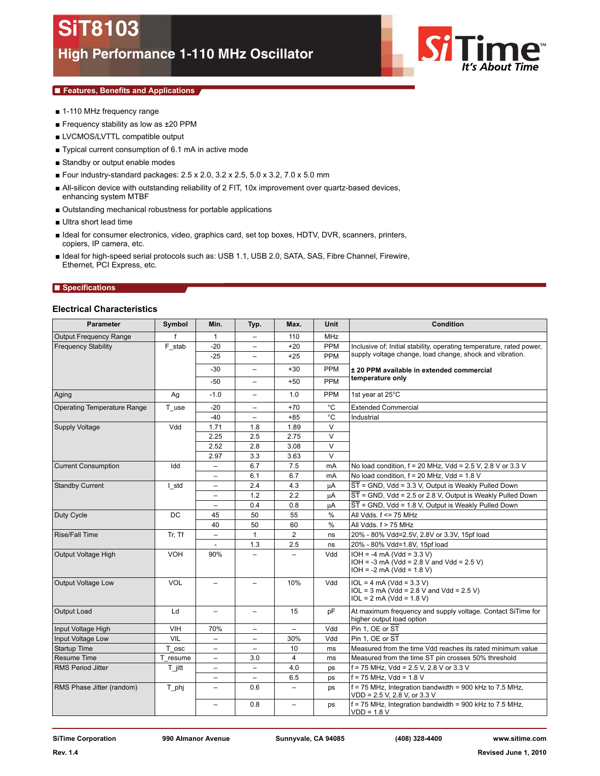

# ■ **Features, Benefits and Applications**

- 1-110 MHz frequency range
- Frequency stability as low as ±20 PPM
- LVCMOS/LVTTL compatible output
- Typical current consumption of 6.1 mA in active mode
- Standby or output enable modes
- Four industry-standard packages: 2.5 x 2.0, 3.2 x 2.5, 5.0 x 3.2, 7.0 x 5.0 mm
- All-silicon device with outstanding reliability of 2 FIT, 10x improvement over quartz-based devices, enhancing system MTBF
- Outstanding mechanical robustness for portable applications
- Ultra short lead time
- Ideal for consumer electronics, video, graphics card, set top boxes, HDTV, DVR, scanners, printers, copiers, IP camera, etc.
- Ideal for high-speed serial protocols such as: USB 1.1, USB 2.0, SATA, SAS, Fibre Channel, Firewire, Ethernet, PCI Express, etc.

### ■ **Specifications**

# **Electrical Characteristics**

| <b>Parameter</b>              | Symbol     | Min.                     | Typ.                     | Max.                     | Unit          | Condition                                                                                                 |  |
|-------------------------------|------------|--------------------------|--------------------------|--------------------------|---------------|-----------------------------------------------------------------------------------------------------------|--|
| <b>Output Frequency Range</b> | f          | $\mathbf{1}$             | $\overline{\phantom{0}}$ | 110                      | <b>MHz</b>    |                                                                                                           |  |
| <b>Frequency Stability</b>    | F stab     | $-20$                    | -                        | $+20$                    | PPM           | Inclusive of: Initial stability, operating temperature, rated power,                                      |  |
|                               |            | $-25$                    | -                        | $+25$                    | PPM           | supply voltage change, load change, shock and vibration.                                                  |  |
|                               |            | $-30$                    | $\overline{\phantom{0}}$ | $+30$                    | PPM           | ± 20 PPM available in extended commercial                                                                 |  |
|                               |            | -50                      | -                        | $+50$                    | <b>PPM</b>    | temperature only                                                                                          |  |
| Aging                         | Ag         | $-1.0$                   | $\overline{\phantom{0}}$ | 1.0                      | PPM           | 1st year at 25°C                                                                                          |  |
| Operating Temperature Range   | T_use      | $-20$                    | $\qquad \qquad -$        | $+70$                    | °C            | <b>Extended Commercial</b>                                                                                |  |
|                               |            | $-40$                    | $\overline{\phantom{0}}$ | $+85$                    | $^{\circ}$ C  | Industrial                                                                                                |  |
| Supply Voltage                | Vdd        | 1.71                     | 1.8                      | 1.89                     | V             |                                                                                                           |  |
|                               |            | 2.25                     | 2.5                      | 2.75                     | V             |                                                                                                           |  |
|                               |            | 2.52                     | 2.8                      | 3.08                     | V             |                                                                                                           |  |
|                               |            | 2.97                     | 3.3                      | 3.63                     | $\vee$        |                                                                                                           |  |
| <b>Current Consumption</b>    | Idd        | $\overline{\phantom{0}}$ | 6.7                      | 7.5                      | mA            | No load condition, $f = 20$ MHz, Vdd = 2.5 V, 2.8 V or 3.3 V                                              |  |
|                               |            | $\overline{\phantom{m}}$ | 6.1                      | 6.7                      | mA            | No load condition, $f = 20$ MHz, Vdd = 1.8 V                                                              |  |
| <b>Standby Current</b>        | I std      | $\overline{\phantom{m}}$ | 2.4                      | 4.3                      | μA            | ST = GND, Vdd = 3.3 V, Output is Weakly Pulled Down                                                       |  |
|                               |            | $\qquad \qquad -$        | 1.2                      | 2.2                      | μA            | $\overline{ST}$ = GND, Vdd = 2.5 or 2.8 V, Output is Weakly Pulled Down                                   |  |
|                               |            | $\overline{\phantom{m}}$ | 0.4                      | 0.8                      | μA            | $\overline{ST}$ = GND, Vdd = 1.8 V, Output is Weakly Pulled Down                                          |  |
| Duty Cycle                    | DC         | 45                       | 50                       | 55                       | $\%$          | All Vdds. $f \leq 75$ MHz                                                                                 |  |
|                               |            | 40                       | 50                       | 60                       | $\frac{0}{0}$ | All Vdds. f > 75 MHz                                                                                      |  |
| <b>Rise/Fall Time</b>         | Tr. Tf     | $\equiv$                 | $\mathbf{1}$             | $\overline{2}$           | ns            | 20% - 80% Vdd=2.5V, 2.8V or 3.3V, 15pf load                                                               |  |
|                               |            | $\sim$                   | 1.3                      | 2.5                      | ns            | 20% - 80% Vdd=1.8V, 15pf load                                                                             |  |
| Output Voltage High           | <b>VOH</b> | 90%                      | $\overline{\phantom{0}}$ | $\equiv$                 | Vdd           | $IOH = -4 mA (Vdd = 3.3 V)$<br>$IOH = -3 mA (Vdd = 2.8 V and Vdd = 2.5 V)$<br>$IOH = -2 mA (Vdd = 1.8 V)$ |  |
| <b>Output Voltage Low</b>     | <b>VOL</b> |                          |                          | 10%                      | Vdd           | $IOL = 4 mA (Vdd = 3.3 V)$<br>$1OL = 3 mA (Vdd = 2.8 V and Vdd = 2.5 V)$<br>$IOL = 2 mA (Vdd = 1.8 V)$    |  |
| Output Load                   | Ld         | $\overline{\phantom{m}}$ | $\qquad \qquad -$        | 15                       | pF            | At maximum frequency and supply voltage. Contact SiTime for<br>higher output load option                  |  |
| Input Voltage High            | VIH        | 70%                      | $\qquad \qquad -$        | $\overline{\phantom{a}}$ | Vdd           | Pin 1, OE or ST                                                                                           |  |
| <b>Input Voltage Low</b>      | <b>VIL</b> | $\qquad \qquad -$        | -                        | 30%                      | Vdd           | Pin 1. OE or ST                                                                                           |  |
| Startup Time                  | T osc      | $\overline{\phantom{0}}$ | $\overline{\phantom{0}}$ | 10                       | ms            | Measured from the time Vdd reaches its rated minimum value                                                |  |
| <b>Resume Time</b>            | resume     | $\overline{\phantom{a}}$ | 3.0                      | 4                        | ms            | Measured from the time ST pin crosses 50% threshold                                                       |  |
| RMS Period Jitter             | $T$ jitt   | $\qquad \qquad -$        |                          | 4.0                      | ps            | $f = 75$ MHz, Vdd = 2.5 V, 2.8 V or 3.3 V                                                                 |  |
|                               |            | $\overline{\phantom{m}}$ | $\overline{\phantom{0}}$ | 6.5                      | ps            | $f = 75$ MHz, Vdd = 1.8 V                                                                                 |  |
| RMS Phase Jitter (random)     | T_phj      | $\qquad \qquad -$        | 0.6                      | $\overline{\phantom{a}}$ | ps            | $f = 75$ MHz, Integration bandwidth = 900 kHz to 7.5 MHz,<br>VDD = 2.5 V, 2.8 V, or 3.3 V                 |  |
|                               |            | $\overline{\phantom{0}}$ | 0.8                      | $\overline{\phantom{0}}$ | ps            | $f = 75$ MHz, Integration bandwidth = 900 kHz to 7.5 MHz,<br>$VDD = 1.8 V$                                |  |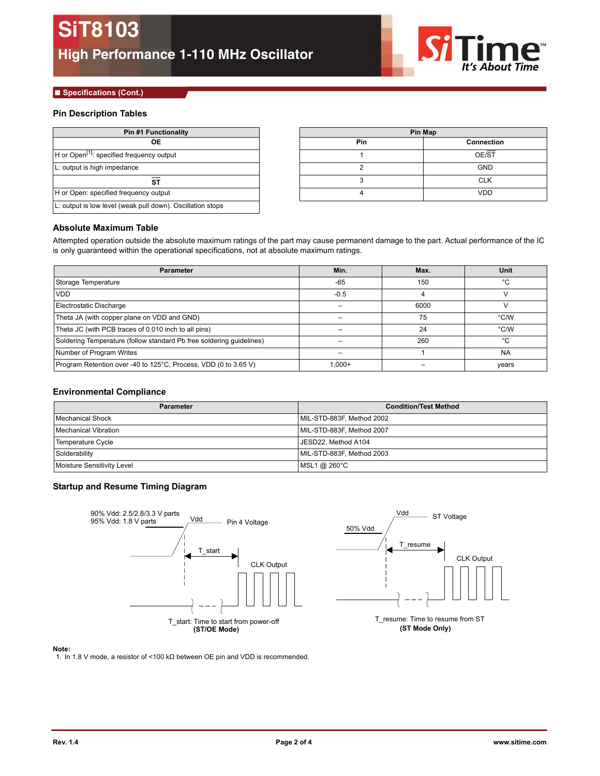

## **■ Specifications (Cont.)**

# **Pin Description Tables**

| <b>Pin #1 Functionality</b>                                | Pin Map |            |  |
|------------------------------------------------------------|---------|------------|--|
| OЕ                                                         | Pin     | Connecti   |  |
| $H$ or Open <sup>[1]</sup> : specified frequency output    |         | OE/ST      |  |
| L: output is high impedance                                |         | <b>GND</b> |  |
| SТ                                                         |         | <b>CLK</b> |  |
| H or Open: specified frequency output                      |         | <b>VDD</b> |  |
| L: output is low level (weak pull down). Oscillation stops |         |            |  |

| Pin #1 Functionality | <b>Pin Map</b> |            |  |
|----------------------|----------------|------------|--|
| <b>OE</b>            | <b>Pin</b>     | Connection |  |
| frequency output     |                | OE/ST      |  |
| ance                 |                | <b>GND</b> |  |
| ST                   |                | <b>CLK</b> |  |
| equency output       |                | <b>VDD</b> |  |

# **Absolute Maximum Table**

Attempted operation outside the absolute maximum ratings of the part may cause permanent damage to the part. Actual performance of the IC is only guaranteed within the operational specifications, not at absolute maximum ratings.

| <b>Parameter</b>                                                     | Min.      | Max. | <b>Unit</b> |
|----------------------------------------------------------------------|-----------|------|-------------|
| Storage Temperature                                                  | $-65$     | 150  | °C          |
| <b>VDD</b>                                                           | $-0.5$    |      |             |
| Electrostatic Discharge                                              |           | 6000 |             |
| Theta JA (with copper plane on VDD and GND)                          |           | 75   | °C/W        |
| Theta JC (with PCB traces of 0.010 inch to all pins)                 |           | 24   | °C/W        |
| Soldering Temperature (follow standard Pb free soldering guidelines) |           | 260  | °€          |
| Number of Program Writes                                             |           |      | <b>NA</b>   |
| Program Retention over -40 to 125°C, Process, VDD (0 to 3.65 V)      | $1.000 +$ |      | years       |

# **Environmental Compliance**

| <b>Parameter</b>           | <b>Condition/Test Method</b> |  |  |
|----------------------------|------------------------------|--|--|
| Mechanical Shock           | MIL-STD-883F, Method 2002    |  |  |
| Mechanical Vibration       | MIL-STD-883F, Method 2007    |  |  |
| Temperature Cycle          | JESD22. Method A104          |  |  |
| Solderability              | MIL-STD-883F, Method 2003    |  |  |
| Moisture Sensitivity Level | MSL1 @ 260°C                 |  |  |

# **Startup and Resume Timing Diagram**





T\_resume: Time to resume from ST **(ST/OE Mode) (ST Mode Only)**

#### **Note:**

<span id="page-1-0"></span>1. In 1.8 V mode, a resistor of <100 kΩ between OE pin and VDD is recommended.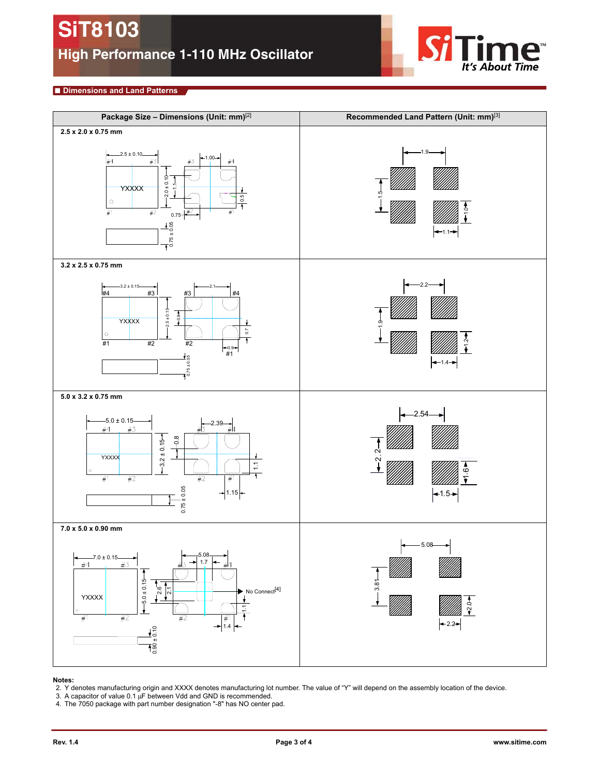

## **■ Dimensions and Land Patterns**



### **Notes:**

- 2. Y denotes manufacturing origin and XXXX denotes manufacturing lot number. The value of "Y" will depend on the assembly location of the device.<br>3. A capacitor of value 0.1 μF between Vdd and GND is recommended.
- 
- <span id="page-2-0"></span>4. The 7050 package with part number designation "-8" has NO center pad.